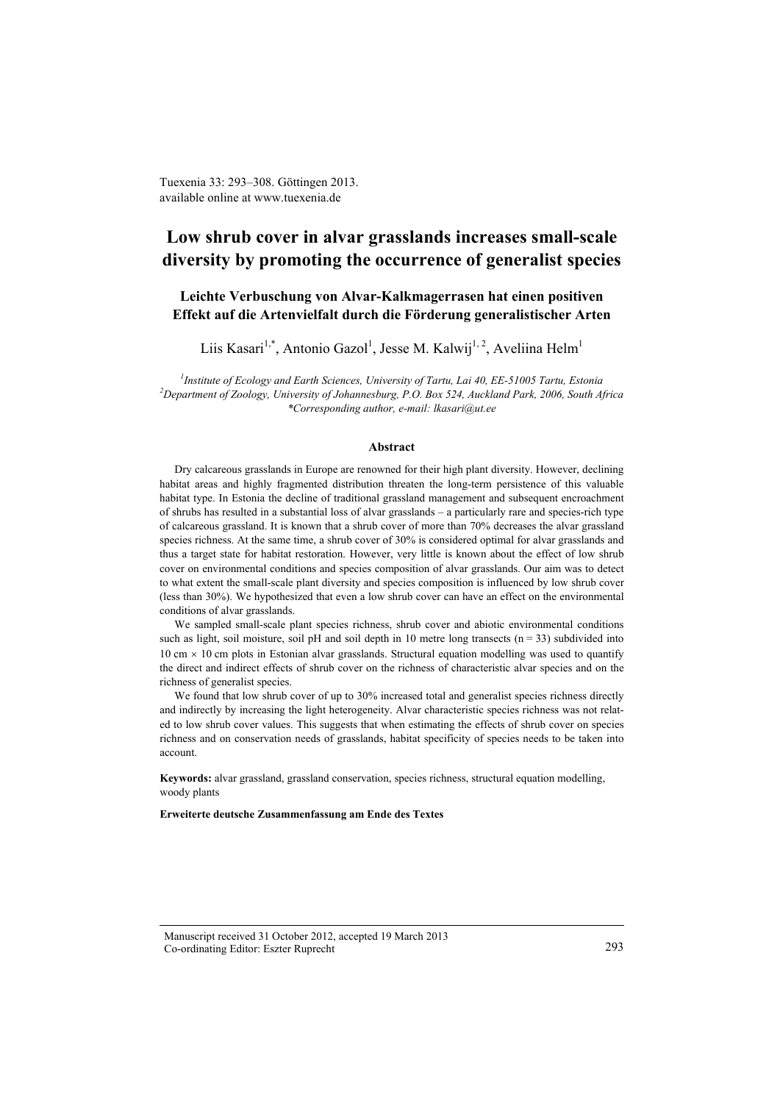Tuexenia 33: 293–308. Göttingen 2013. available online at www.tuexenia.de

# **Low shrub cover in alvar grasslands increases small-scale diversity by promoting the occurrence of generalist species**

# **Leichte Verbuschung von Alvar-Kalkmagerrasen hat einen positiven Effekt auf die Artenvielfalt durch die Förderung generalistischer Arten**

Liis Kasari<sup>1,\*</sup>, Antonio Gazol<sup>1</sup>, Jesse M. Kalwij<sup>1,2</sup>, Aveliina Helm<sup>1</sup>

*1 Institute of Ecology and Earth Sciences, University of Tartu, Lai 40, EE-51005 Tartu, Estonia 2 Department of Zoology, University of Johannesburg, P.O. Box 524, Auckland Park, 2006, South Africa \*Corresponding author, e-mail: lkasari@ut.ee*

#### **Abstract**

Dry calcareous grasslands in Europe are renowned for their high plant diversity. However, declining habitat areas and highly fragmented distribution threaten the long-term persistence of this valuable habitat type. In Estonia the decline of traditional grassland management and subsequent encroachment of shrubs has resulted in a substantial loss of alvar grasslands – a particularly rare and species-rich type of calcareous grassland. It is known that a shrub cover of more than 70% decreases the alvar grassland species richness. At the same time, a shrub cover of 30% is considered optimal for alvar grasslands and thus a target state for habitat restoration. However, very little is known about the effect of low shrub cover on environmental conditions and species composition of alvar grasslands. Our aim was to detect to what extent the small-scale plant diversity and species composition is influenced by low shrub cover (less than 30%). We hypothesized that even a low shrub cover can have an effect on the environmental conditions of alvar grasslands.

We sampled small-scale plant species richness, shrub cover and abiotic environmental conditions such as light, soil moisture, soil pH and soil depth in 10 metre long transects  $(n = 33)$  subdivided into  $10 \text{ cm} \times 10 \text{ cm}$  plots in Estonian alvar grasslands. Structural equation modelling was used to quantify the direct and indirect effects of shrub cover on the richness of characteristic alvar species and on the richness of generalist species.

We found that low shrub cover of up to 30% increased total and generalist species richness directly and indirectly by increasing the light heterogeneity. Alvar characteristic species richness was not related to low shrub cover values. This suggests that when estimating the effects of shrub cover on species richness and on conservation needs of grasslands, habitat specificity of species needs to be taken into account.

**Keywords:** alvar grassland, grassland conservation, species richness, structural equation modelling, woody plants

**Erweiterte deutsche Zusammenfassung am Ende des Textes**

Manuscript received 31 October 2012, accepted 19 March 2013 Co-ordinating Editor: Eszter Ruprecht 293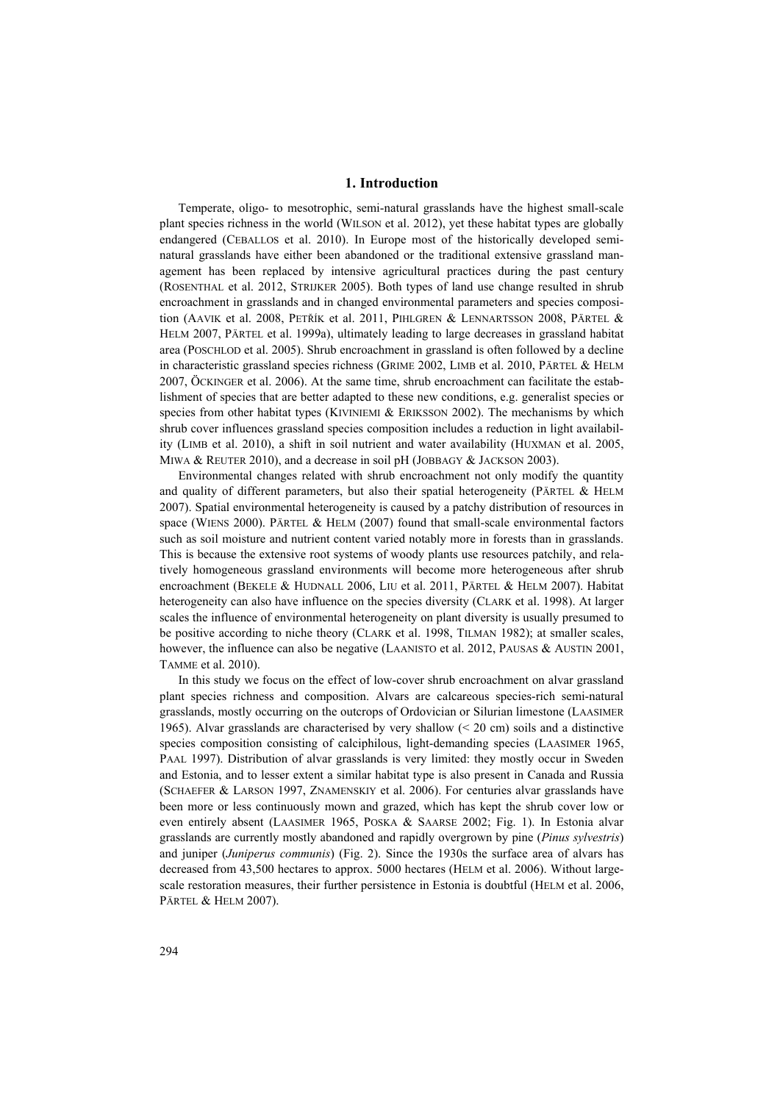#### **1. Introduction**

Temperate, oligo- to mesotrophic, semi-natural grasslands have the highest small-scale plant species richness in the world (WILSON et al. 2012), yet these habitat types are globally endangered (CEBALLOS et al. 2010). In Europe most of the historically developed seminatural grasslands have either been abandoned or the traditional extensive grassland management has been replaced by intensive agricultural practices during the past century (ROSENTHAL et al. 2012, STRIJKER 2005). Both types of land use change resulted in shrub encroachment in grasslands and in changed environmental parameters and species composition (AAVIK et al. 2008, PETŘÍK et al. 2011, PIHLGREN & LENNARTSSON 2008, PÄRTEL & HELM 2007, PÄRTEL et al. 1999a), ultimately leading to large decreases in grassland habitat area (POSCHLOD et al. 2005). Shrub encroachment in grassland is often followed by a decline in characteristic grassland species richness (GRIME 2002, LIMB et al. 2010, PÄRTEL & HELM 2007, ÖCKINGER et al. 2006). At the same time, shrub encroachment can facilitate the establishment of species that are better adapted to these new conditions, e.g. generalist species or species from other habitat types (KIVINIEMI  $\&$  ERIKSSON 2002). The mechanisms by which shrub cover influences grassland species composition includes a reduction in light availability (LIMB et al. 2010), a shift in soil nutrient and water availability (HUXMAN et al. 2005, MIWA & REUTER 2010), and a decrease in soil pH (JOBBAGY & JACKSON 2003).

Environmental changes related with shrub encroachment not only modify the quantity and quality of different parameters, but also their spatial heterogeneity (PÄRTEL & HELM 2007). Spatial environmental heterogeneity is caused by a patchy distribution of resources in space (WIENS 2000). PÄRTEL & HELM (2007) found that small-scale environmental factors such as soil moisture and nutrient content varied notably more in forests than in grasslands. This is because the extensive root systems of woody plants use resources patchily, and relatively homogeneous grassland environments will become more heterogeneous after shrub encroachment (BEKELE & HUDNALL 2006, LIU et al. 2011, PÄRTEL & HELM 2007). Habitat heterogeneity can also have influence on the species diversity (CLARK et al. 1998). At larger scales the influence of environmental heterogeneity on plant diversity is usually presumed to be positive according to niche theory (CLARK et al. 1998, TILMAN 1982); at smaller scales, however, the influence can also be negative (LAANISTO et al. 2012, PAUSAS & AUSTIN 2001, TAMME et al. 2010).

In this study we focus on the effect of low-cover shrub encroachment on alvar grassland plant species richness and composition. Alvars are calcareous species-rich semi-natural grasslands, mostly occurring on the outcrops of Ordovician or Silurian limestone (LAASIMER 1965). Alvar grasslands are characterised by very shallow  $( $20 \text{ cm}$ )$  soils and a distinctive species composition consisting of calciphilous, light-demanding species (LAASIMER 1965, PAAL 1997). Distribution of alvar grasslands is very limited: they mostly occur in Sweden and Estonia, and to lesser extent a similar habitat type is also present in Canada and Russia (SCHAEFER & LARSON 1997, ZNAMENSKIY et al. 2006). For centuries alvar grasslands have been more or less continuously mown and grazed, which has kept the shrub cover low or even entirely absent (LAASIMER 1965, POSKA & SAARSE 2002; Fig. 1). In Estonia alvar grasslands are currently mostly abandoned and rapidly overgrown by pine (*Pinus sylvestris*) and juniper (*Juniperus communis*) (Fig. 2). Since the 1930s the surface area of alvars has decreased from 43,500 hectares to approx. 5000 hectares (HELM et al. 2006). Without largescale restoration measures, their further persistence in Estonia is doubtful (HELM et al. 2006, PÄRTEL & HELM 2007).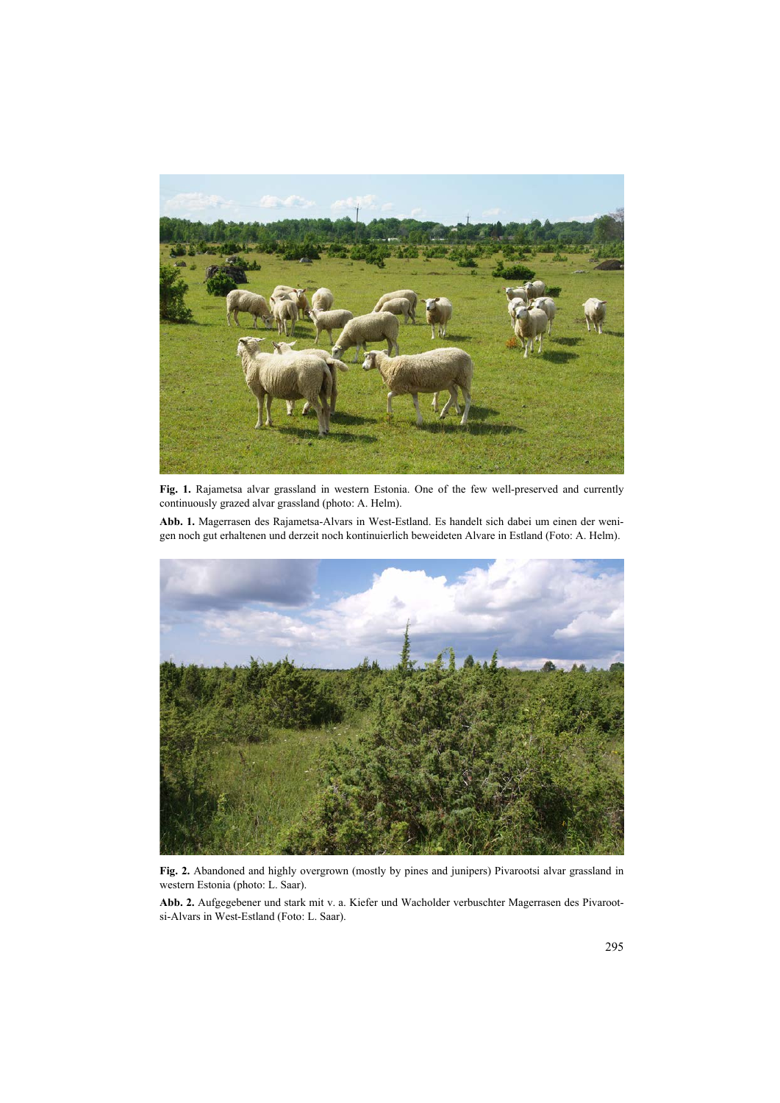

**Fig. 1.** Rajametsa alvar grassland in western Estonia. One of the few well-preserved and currently continuously grazed alvar grassland (photo: A. Helm).

**Abb. 1.** Magerrasen des Rajametsa-Alvars in West-Estland. Es handelt sich dabei um einen der wenigen noch gut erhaltenen und derzeit noch kontinuierlich beweideten Alvare in Estland (Foto: A. Helm).



**Fig. 2.** Abandoned and highly overgrown (mostly by pines and junipers) Pivarootsi alvar grassland in western Estonia (photo: L. Saar).

**Abb. 2.** Aufgegebener und stark mit v. a. Kiefer und Wacholder verbuschter Magerrasen des Pivarootsi-Alvars in West-Estland (Foto: L. Saar).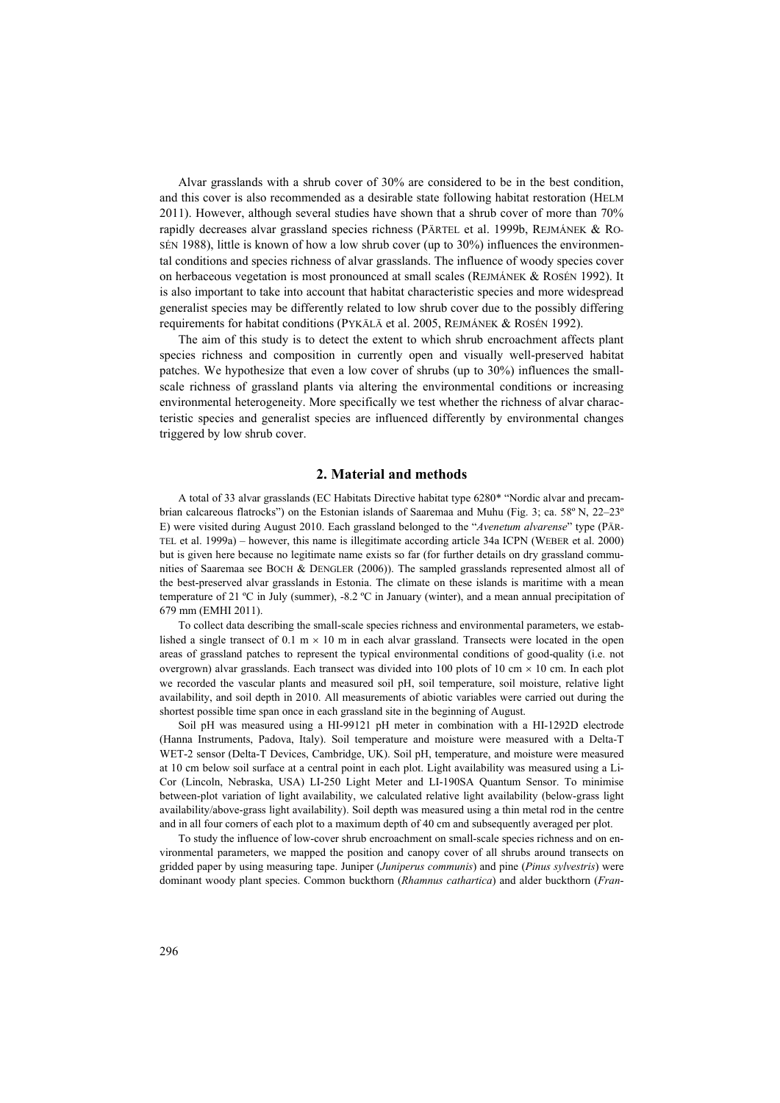Alvar grasslands with a shrub cover of 30% are considered to be in the best condition, and this cover is also recommended as a desirable state following habitat restoration (HELM 2011). However, although several studies have shown that a shrub cover of more than 70% rapidly decreases alvar grassland species richness (PÄRTEL et al. 1999b, REJMÁNEK & RO-SÉN 1988), little is known of how a low shrub cover (up to 30%) influences the environmental conditions and species richness of alvar grasslands. The influence of woody species cover on herbaceous vegetation is most pronounced at small scales (REJMÁNEK & ROSÉN 1992). It is also important to take into account that habitat characteristic species and more widespread generalist species may be differently related to low shrub cover due to the possibly differing requirements for habitat conditions (PYKÄLÄ et al. 2005, REJMÁNEK & ROSÉN 1992).

The aim of this study is to detect the extent to which shrub encroachment affects plant species richness and composition in currently open and visually well-preserved habitat patches. We hypothesize that even a low cover of shrubs (up to 30%) influences the smallscale richness of grassland plants via altering the environmental conditions or increasing environmental heterogeneity. More specifically we test whether the richness of alvar characteristic species and generalist species are influenced differently by environmental changes triggered by low shrub cover.

## **2. Material and methods**

A total of 33 alvar grasslands (EC Habitats Directive habitat type 6280\* "Nordic alvar and precambrian calcareous flatrocks") on the Estonian islands of Saaremaa and Muhu (Fig. 3; ca. 58º N, 22–23º E) were visited during August 2010. Each grassland belonged to the "*Avenetum alvarense*" type (PÄR-TEL et al. 1999a) – however, this name is illegitimate according article 34a ICPN (WEBER et al. 2000) but is given here because no legitimate name exists so far (for further details on dry grassland communities of Saaremaa see BOCH & DENGLER (2006)). The sampled grasslands represented almost all of the best-preserved alvar grasslands in Estonia. The climate on these islands is maritime with a mean temperature of 21 ºC in July (summer), -8.2 ºC in January (winter), and a mean annual precipitation of 679 mm (EMHI 2011).

To collect data describing the small-scale species richness and environmental parameters, we established a single transect of 0.1 m  $\times$  10 m in each alvar grassland. Transects were located in the open areas of grassland patches to represent the typical environmental conditions of good-quality (i.e. not overgrown) alvar grasslands. Each transect was divided into 100 plots of 10 cm  $\times$  10 cm. In each plot we recorded the vascular plants and measured soil pH, soil temperature, soil moisture, relative light availability, and soil depth in 2010. All measurements of abiotic variables were carried out during the shortest possible time span once in each grassland site in the beginning of August.

Soil pH was measured using a HI-99121 pH meter in combination with a HI-1292D electrode (Hanna Instruments, Padova, Italy). Soil temperature and moisture were measured with a Delta-T WET-2 sensor (Delta-T Devices, Cambridge, UK). Soil pH, temperature, and moisture were measured at 10 cm below soil surface at a central point in each plot. Light availability was measured using a Li-Cor (Lincoln, Nebraska, USA) LI-250 Light Meter and LI-190SA Quantum Sensor. To minimise between-plot variation of light availability, we calculated relative light availability (below-grass light availability/above-grass light availability). Soil depth was measured using a thin metal rod in the centre and in all four corners of each plot to a maximum depth of 40 cm and subsequently averaged per plot.

To study the influence of low-cover shrub encroachment on small-scale species richness and on environmental parameters, we mapped the position and canopy cover of all shrubs around transects on gridded paper by using measuring tape. Juniper (*Juniperus communis*) and pine (*Pinus sylvestris*) were dominant woody plant species. Common buckthorn (*Rhamnus cathartica*) and alder buckthorn (*Fran*-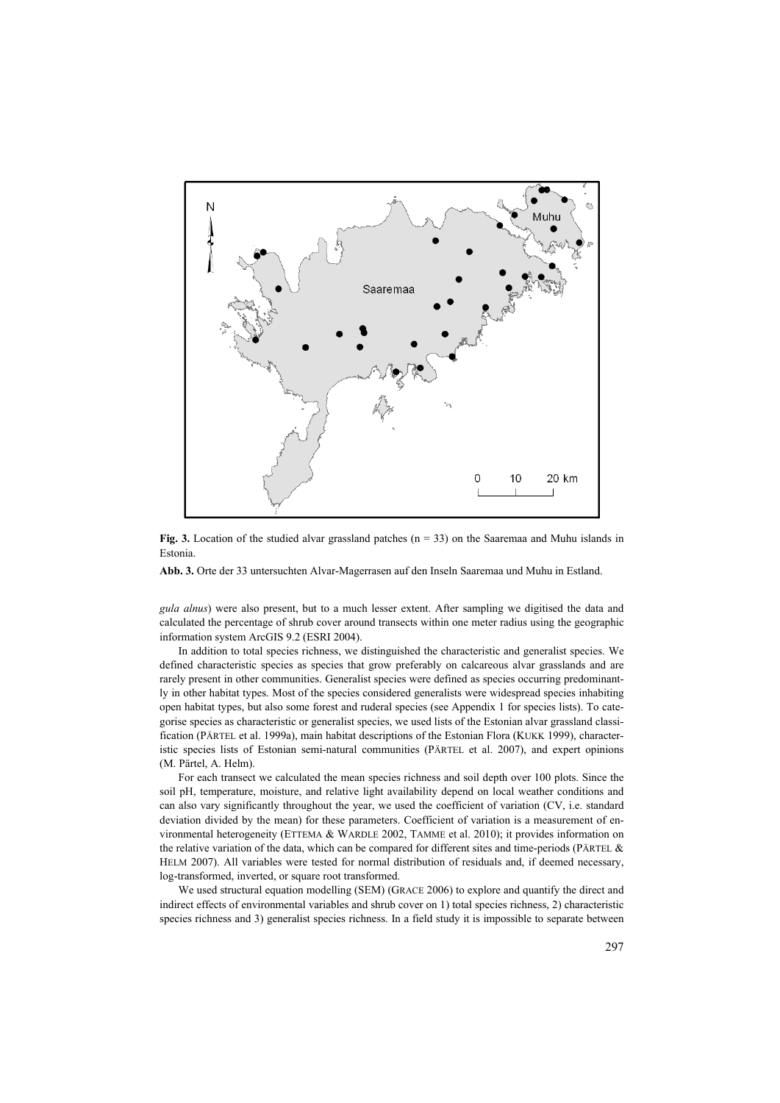

**Fig. 3.** Location of the studied alvar grassland patches ( $n = 33$ ) on the Saaremaa and Muhu islands in Estonia.

**Abb. 3.** Orte der 33 untersuchten Alvar-Magerrasen auf den Inseln Saaremaa und Muhu in Estland.

*gula alnus*) were also present, but to a much lesser extent. After sampling we digitised the data and calculated the percentage of shrub cover around transects within one meter radius using the geographic information system ArcGIS 9.2 (ESRI 2004).

In addition to total species richness, we distinguished the characteristic and generalist species. We defined characteristic species as species that grow preferably on calcareous alvar grasslands and are rarely present in other communities. Generalist species were defined as species occurring predominantly in other habitat types. Most of the species considered generalists were widespread species inhabiting open habitat types, but also some forest and ruderal species (see Appendix 1 for species lists). To categorise species as characteristic or generalist species, we used lists of the Estonian alvar grassland classification (PÄRTEL et al. 1999a), main habitat descriptions of the Estonian Flora (KUKK 1999), characteristic species lists of Estonian semi-natural communities (PÄRTEL et al. 2007), and expert opinions (M. Pärtel, A. Helm).

For each transect we calculated the mean species richness and soil depth over 100 plots. Since the soil pH, temperature, moisture, and relative light availability depend on local weather conditions and can also vary significantly throughout the year, we used the coefficient of variation (CV, i.e. standard deviation divided by the mean) for these parameters. Coefficient of variation is a measurement of environmental heterogeneity (ETTEMA & WARDLE 2002, TAMME et al. 2010); it provides information on the relative variation of the data, which can be compared for different sites and time-periods (PÄRTEL & HELM 2007). All variables were tested for normal distribution of residuals and, if deemed necessary, log-transformed, inverted, or square root transformed.

We used structural equation modelling (SEM) (GRACE 2006) to explore and quantify the direct and indirect effects of environmental variables and shrub cover on 1) total species richness, 2) characteristic species richness and 3) generalist species richness. In a field study it is impossible to separate between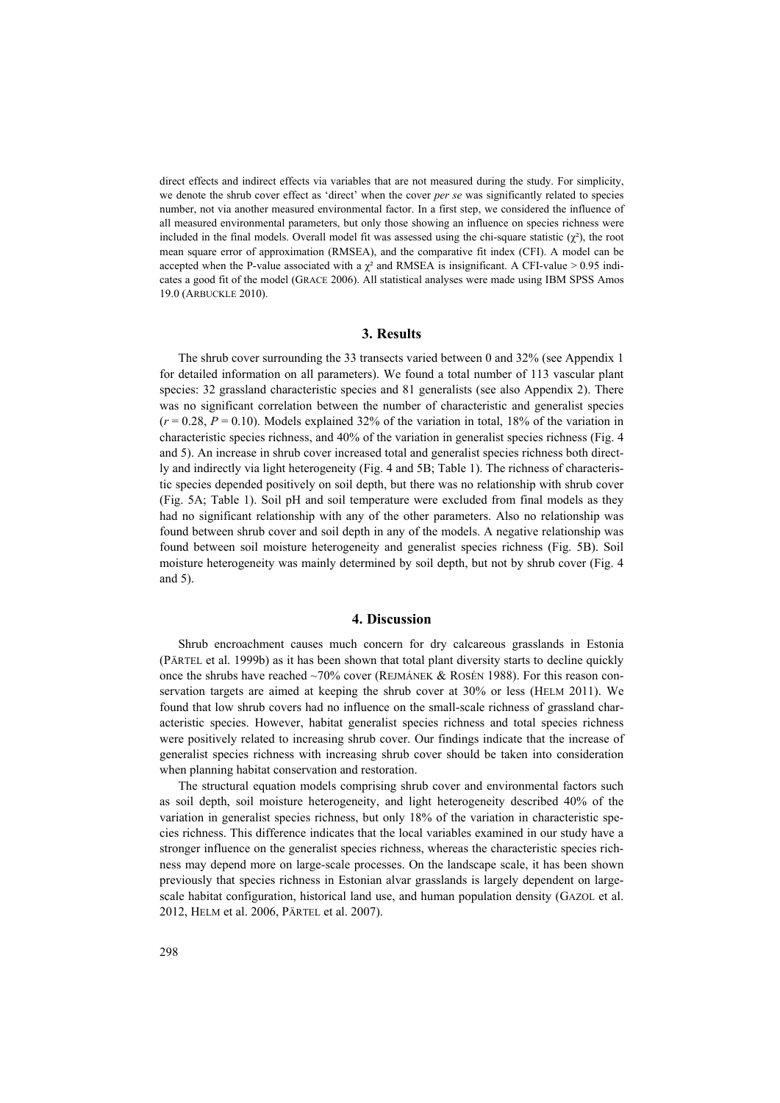direct effects and indirect effects via variables that are not measured during the study. For simplicity, we denote the shrub cover effect as 'direct' when the cover *per se* was significantly related to species number, not via another measured environmental factor. In a first step, we considered the influence of all measured environmental parameters, but only those showing an influence on species richness were included in the final models. Overall model fit was assessed using the chi-square statistic  $(\chi^2)$ , the root mean square error of approximation (RMSEA), and the comparative fit index (CFI). A model can be accepted when the P-value associated with a  $\chi^2$  and RMSEA is insignificant. A CFI-value > 0.95 indicates a good fit of the model (GRACE 2006). All statistical analyses were made using IBM SPSS Amos 19.0 (ARBUCKLE 2010).

#### **3. Results**

The shrub cover surrounding the 33 transects varied between 0 and 32% (see Appendix 1 for detailed information on all parameters). We found a total number of 113 vascular plant species: 32 grassland characteristic species and 81 generalists (see also Appendix 2). There was no significant correlation between the number of characteristic and generalist species  $(r = 0.28, P = 0.10)$ . Models explained 32% of the variation in total, 18% of the variation in characteristic species richness, and 40% of the variation in generalist species richness (Fig. 4 and 5). An increase in shrub cover increased total and generalist species richness both directly and indirectly via light heterogeneity (Fig. 4 and 5B; Table 1). The richness of characteristic species depended positively on soil depth, but there was no relationship with shrub cover (Fig. 5A; Table 1). Soil pH and soil temperature were excluded from final models as they had no significant relationship with any of the other parameters. Also no relationship was found between shrub cover and soil depth in any of the models. A negative relationship was found between soil moisture heterogeneity and generalist species richness (Fig. 5B). Soil moisture heterogeneity was mainly determined by soil depth, but not by shrub cover (Fig. 4 and 5).

#### **4. Discussion**

Shrub encroachment causes much concern for dry calcareous grasslands in Estonia (PÄRTEL et al. 1999b) as it has been shown that total plant diversity starts to decline quickly once the shrubs have reached ~70% cover (REJMÁNEK & ROSÉN 1988). For this reason conservation targets are aimed at keeping the shrub cover at 30% or less (HELM 2011). We found that low shrub covers had no influence on the small-scale richness of grassland characteristic species. However, habitat generalist species richness and total species richness were positively related to increasing shrub cover. Our findings indicate that the increase of generalist species richness with increasing shrub cover should be taken into consideration when planning habitat conservation and restoration.

The structural equation models comprising shrub cover and environmental factors such as soil depth, soil moisture heterogeneity, and light heterogeneity described 40% of the variation in generalist species richness, but only 18% of the variation in characteristic species richness. This difference indicates that the local variables examined in our study have a stronger influence on the generalist species richness, whereas the characteristic species richness may depend more on large-scale processes. On the landscape scale, it has been shown previously that species richness in Estonian alvar grasslands is largely dependent on largescale habitat configuration, historical land use, and human population density (GAZOL et al. 2012, HELM et al. 2006, PÄRTEL et al. 2007).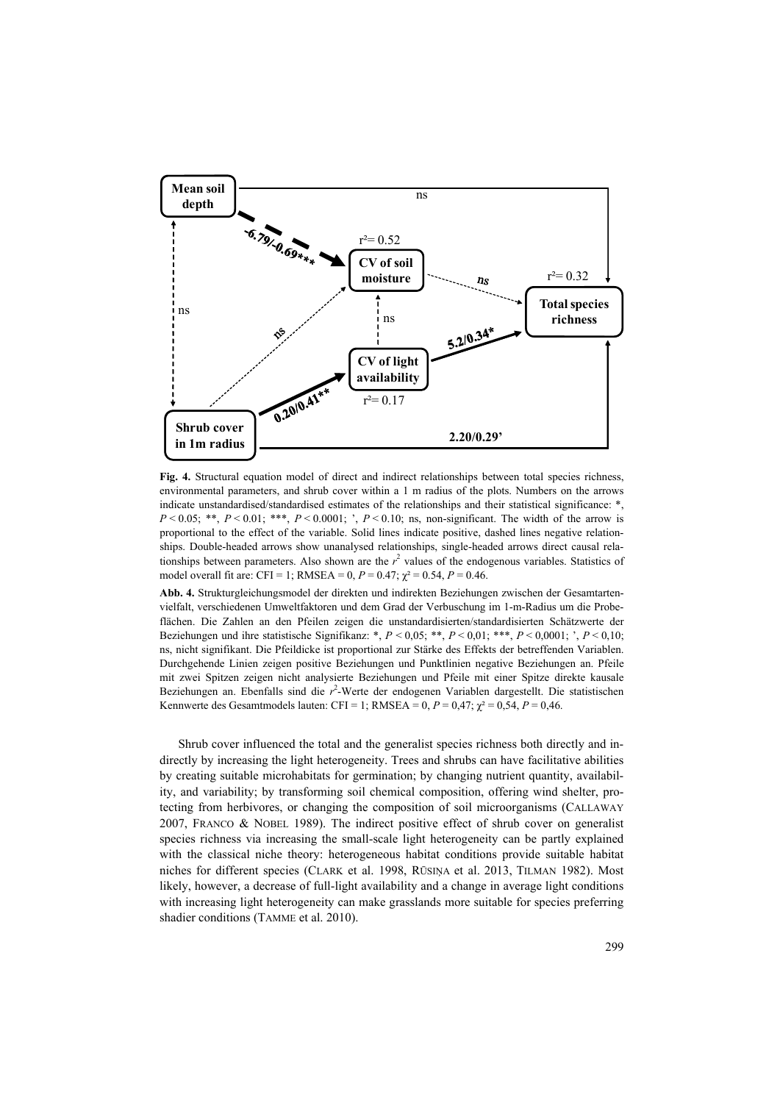

**Fig. 4.** Structural equation model of direct and indirect relationships between total species richness, environmental parameters, and shrub cover within a 1 m radius of the plots. Numbers on the arrows indicate unstandardised/standardised estimates of the relationships and their statistical significance: \*,  $P \le 0.05$ ; \*\*,  $P \le 0.01$ ; \*\*,  $P \le 0.0001$ ;  $P \le 0.10$ ; ns, non-significant. The width of the arrow is proportional to the effect of the variable. Solid lines indicate positive, dashed lines negative relationships. Double-headed arrows show unanalysed relationships, single-headed arrows direct causal relationships between parameters. Also shown are the  $r<sup>2</sup>$  values of the endogenous variables. Statistics of model overall fit are: CFI = 1; RMSEA = 0,  $P = 0.47$ ;  $\chi^2 = 0.54$ ,  $P = 0.46$ .

**Abb. 4.** Strukturgleichungsmodel der direkten und indirekten Beziehungen zwischen der Gesamtartenvielfalt, verschiedenen Umweltfaktoren und dem Grad der Verbuschung im 1-m-Radius um die Probeflächen. Die Zahlen an den Pfeilen zeigen die unstandardisierten/standardisierten Schätzwerte der Beziehungen und ihre statistische Signifikanz: \*, *P* < 0,05; \*\*, *P* < 0,01; \*\*\*, *P* < 0,0001; ', *P* < 0,10; ns, nicht signifikant. Die Pfeildicke ist proportional zur Stärke des Effekts der betreffenden Variablen. Durchgehende Linien zeigen positive Beziehungen und Punktlinien negative Beziehungen an. Pfeile mit zwei Spitzen zeigen nicht analysierte Beziehungen und Pfeile mit einer Spitze direkte kausale Beziehungen an. Ebenfalls sind die *r* 2 -Werte der endogenen Variablen dargestellt. Die statistischen Kennwerte des Gesamtmodels lauten: CFI = 1; RMSEA = 0,  $P = 0.47$ ;  $\chi^2 = 0.54$ ,  $P = 0.46$ .

Shrub cover influenced the total and the generalist species richness both directly and indirectly by increasing the light heterogeneity. Trees and shrubs can have facilitative abilities by creating suitable microhabitats for germination; by changing nutrient quantity, availability, and variability; by transforming soil chemical composition, offering wind shelter, protecting from herbivores, or changing the composition of soil microorganisms (CALLAWAY 2007, FRANCO & NOBEL 1989). The indirect positive effect of shrub cover on generalist species richness via increasing the small-scale light heterogeneity can be partly explained with the classical niche theory: heterogeneous habitat conditions provide suitable habitat niches for different species (CLARK et al. 1998, RŪSINA et al. 2013, TILMAN 1982). Most likely, however, a decrease of full-light availability and a change in average light conditions with increasing light heterogeneity can make grasslands more suitable for species preferring shadier conditions (TAMME et al. 2010).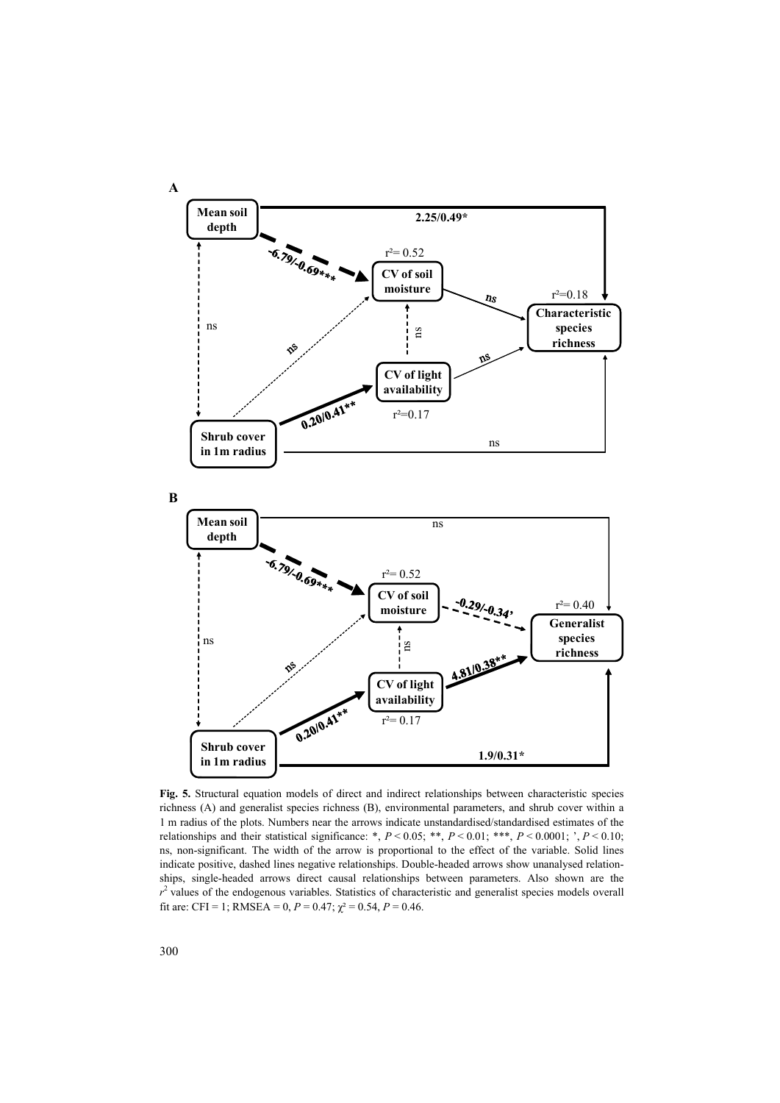

**Fig. 5.** Structural equation models of direct and indirect relationships between characteristic species richness (A) and generalist species richness (B), environmental parameters, and shrub cover within a 1 m radius of the plots. Numbers near the arrows indicate unstandardised/standardised estimates of the relationships and their statistical significance: \*, *P* < 0.05; \*\*, *P* < 0.01; \*\*\*, *P* < 0.0001; ', *P* < 0.10; ns, non-significant. The width of the arrow is proportional to the effect of the variable. Solid lines indicate positive, dashed lines negative relationships. Double-headed arrows show unanalysed relationships, single-headed arrows direct causal relationships between parameters. Also shown are the  $r<sup>2</sup>$  values of the endogenous variables. Statistics of characteristic and generalist species models overall fit are: CFI = 1; RMSEA = 0,  $P = 0.47$ ;  $\chi^2 = 0.54$ ,  $P = 0.46$ .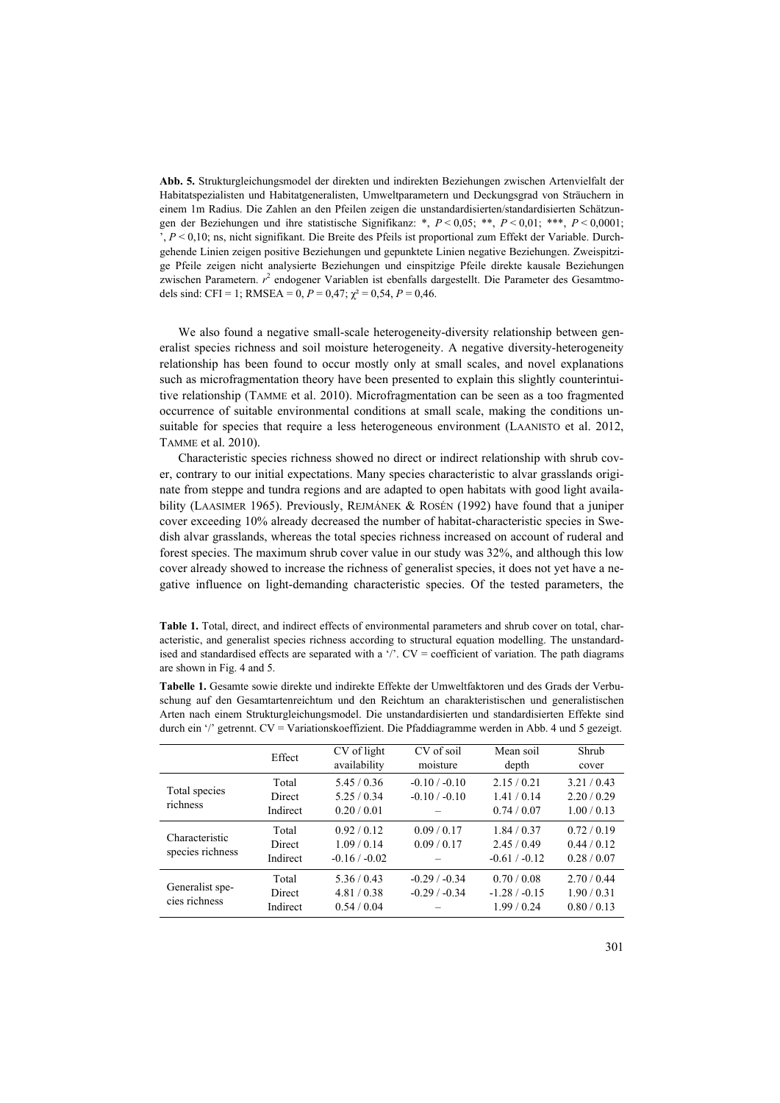**Abb. 5.** Strukturgleichungsmodel der direkten und indirekten Beziehungen zwischen Artenvielfalt der Habitatspezialisten und Habitatgeneralisten, Umweltparametern und Deckungsgrad von Sträuchern in einem 1m Radius. Die Zahlen an den Pfeilen zeigen die unstandardisierten/standardisierten Schätzungen der Beziehungen und ihre statistische Signifikanz: \*, *P* < 0,05; \*\*, *P* < 0,01; \*\*\*, *P* < 0,0001; ', *P* < 0,10; ns, nicht signifikant. Die Breite des Pfeils ist proportional zum Effekt der Variable. Durchgehende Linien zeigen positive Beziehungen und gepunktete Linien negative Beziehungen. Zweispitzige Pfeile zeigen nicht analysierte Beziehungen und einspitzige Pfeile direkte kausale Beziehungen zwischen Parametern.  $r^2$  endogener Variablen ist ebenfalls dargestellt. Die Parameter des Gesamtmodels sind: CFI = 1; RMSEA = 0,  $P = 0.47$ ;  $\chi^2 = 0.54$ ,  $P = 0.46$ .

We also found a negative small-scale heterogeneity-diversity relationship between generalist species richness and soil moisture heterogeneity. A negative diversity-heterogeneity relationship has been found to occur mostly only at small scales, and novel explanations such as microfragmentation theory have been presented to explain this slightly counterintuitive relationship (TAMME et al. 2010). Microfragmentation can be seen as a too fragmented occurrence of suitable environmental conditions at small scale, making the conditions unsuitable for species that require a less heterogeneous environment (LAANISTO et al. 2012, TAMME et al. 2010).

Characteristic species richness showed no direct or indirect relationship with shrub cover, contrary to our initial expectations. Many species characteristic to alvar grasslands originate from steppe and tundra regions and are adapted to open habitats with good light availability (LAASIMER 1965). Previously, REJMÁNEK & ROSÉN (1992) have found that a juniper cover exceeding 10% already decreased the number of habitat-characteristic species in Swedish alvar grasslands, whereas the total species richness increased on account of ruderal and forest species. The maximum shrub cover value in our study was 32%, and although this low cover already showed to increase the richness of generalist species, it does not yet have a negative influence on light-demanding characteristic species. Of the tested parameters, the

**Table 1.** Total, direct, and indirect effects of environmental parameters and shrub cover on total, characteristic, and generalist species richness according to structural equation modelling. The unstandardised and standardised effects are separated with a '/'.  $CV = coefficient$  of variation. The path diagrams are shown in Fig. 4 and 5.

**Tabelle 1.** Gesamte sowie direkte und indirekte Effekte der Umweltfaktoren und des Grads der Verbuschung auf den Gesamtartenreichtum und den Reichtum an charakteristischen und generalistischen Arten nach einem Strukturgleichungsmodel. Die unstandardisierten und standardisierten Effekte sind durch ein '/' getrennt. CV = Variationskoeffizient. Die Pfaddiagramme werden in Abb. 4 und 5 gezeigt.

|                                    | Effect                      | CV of light<br>availability               | CV of soil<br>moisture             | Mean soil<br>depth                        | Shrub<br>cover                        |
|------------------------------------|-----------------------------|-------------------------------------------|------------------------------------|-------------------------------------------|---------------------------------------|
| Total species<br>richness          | Total<br>Direct<br>Indirect | 5.45/0.36<br>5.25/0.34<br>0.20 / 0.01     | $-0.10 / -0.10$<br>$-0.10 / -0.10$ | 2.15/0.21<br>1.41/0.14<br>0.74/0.07       | 3.21/0.43<br>2.20/0.29<br>1.00 / 0.13 |
| Characteristic<br>species richness | Total<br>Direct<br>Indirect | 0.92/0.12<br>1.09/0.14<br>$-0.16 / -0.02$ | 0.09/0.17<br>0.09/0.17             | 1.84/0.37<br>2.45/0.49<br>$-0.61 / -0.12$ | 0.72/0.19<br>0.44/0.12<br>0.28/0.07   |
| Generalist spe-<br>cies richness   | Total<br>Direct<br>Indirect | 5.36/0.43<br>4.81/0.38<br>0.54/0.04       | $-0.29/ -0.34$<br>$-0.29/ -0.34$   | 0.70/0.08<br>$-1.28/ -0.15$<br>1.99/0.24  | 2.70/0.44<br>1.90/0.31<br>0.80/0.13   |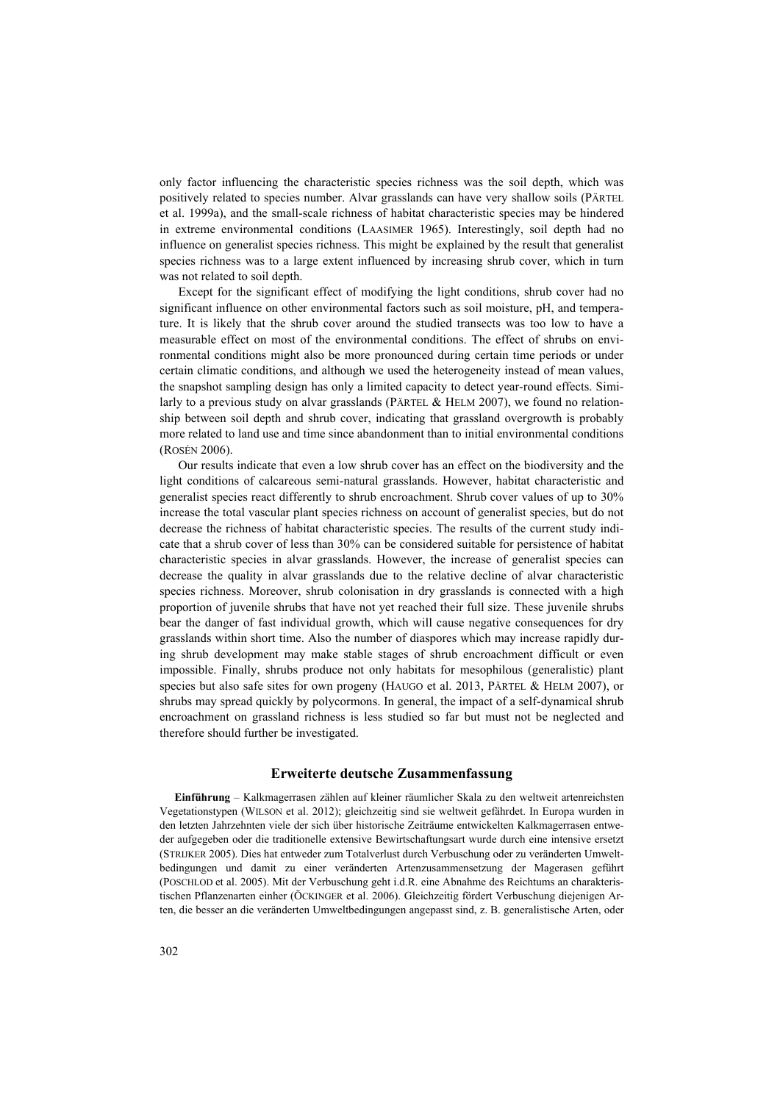only factor influencing the characteristic species richness was the soil depth, which was positively related to species number. Alvar grasslands can have very shallow soils (PÄRTEL et al. 1999a), and the small-scale richness of habitat characteristic species may be hindered in extreme environmental conditions (LAASIMER 1965). Interestingly, soil depth had no influence on generalist species richness. This might be explained by the result that generalist species richness was to a large extent influenced by increasing shrub cover, which in turn was not related to soil depth.

Except for the significant effect of modifying the light conditions, shrub cover had no significant influence on other environmental factors such as soil moisture, pH, and temperature. It is likely that the shrub cover around the studied transects was too low to have a measurable effect on most of the environmental conditions. The effect of shrubs on environmental conditions might also be more pronounced during certain time periods or under certain climatic conditions, and although we used the heterogeneity instead of mean values, the snapshot sampling design has only a limited capacity to detect year-round effects. Similarly to a previous study on alvar grasslands (PÄRTEL & HELM 2007), we found no relationship between soil depth and shrub cover, indicating that grassland overgrowth is probably more related to land use and time since abandonment than to initial environmental conditions (ROSÉN 2006).

Our results indicate that even a low shrub cover has an effect on the biodiversity and the light conditions of calcareous semi-natural grasslands. However, habitat characteristic and generalist species react differently to shrub encroachment. Shrub cover values of up to 30% increase the total vascular plant species richness on account of generalist species, but do not decrease the richness of habitat characteristic species. The results of the current study indicate that a shrub cover of less than 30% can be considered suitable for persistence of habitat characteristic species in alvar grasslands. However, the increase of generalist species can decrease the quality in alvar grasslands due to the relative decline of alvar characteristic species richness. Moreover, shrub colonisation in dry grasslands is connected with a high proportion of juvenile shrubs that have not yet reached their full size. These juvenile shrubs bear the danger of fast individual growth, which will cause negative consequences for dry grasslands within short time. Also the number of diaspores which may increase rapidly during shrub development may make stable stages of shrub encroachment difficult or even impossible. Finally, shrubs produce not only habitats for mesophilous (generalistic) plant species but also safe sites for own progeny (HAUGO et al. 2013, PÄRTEL & HELM 2007), or shrubs may spread quickly by polycormons. In general, the impact of a self-dynamical shrub encroachment on grassland richness is less studied so far but must not be neglected and therefore should further be investigated.

# **Erweiterte deutsche Zusammenfassung**

**Einführung** – Kalkmagerrasen zählen auf kleiner räumlicher Skala zu den weltweit artenreichsten Vegetationstypen (WILSON et al. 2012); gleichzeitig sind sie weltweit gefährdet. In Europa wurden in den letzten Jahrzehnten viele der sich über historische Zeiträume entwickelten Kalkmagerrasen entweder aufgegeben oder die traditionelle extensive Bewirtschaftungsart wurde durch eine intensive ersetzt (STRIJKER 2005). Dies hat entweder zum Totalverlust durch Verbuschung oder zu veränderten Umweltbedingungen und damit zu einer veränderten Artenzusammensetzung der Magerasen geführt (POSCHLOD et al. 2005). Mit der Verbuschung geht i.d.R. eine Abnahme des Reichtums an charakteristischen Pflanzenarten einher (ÖCKINGER et al. 2006). Gleichzeitig fördert Verbuschung diejenigen Arten, die besser an die veränderten Umweltbedingungen angepasst sind, z. B. generalistische Arten, oder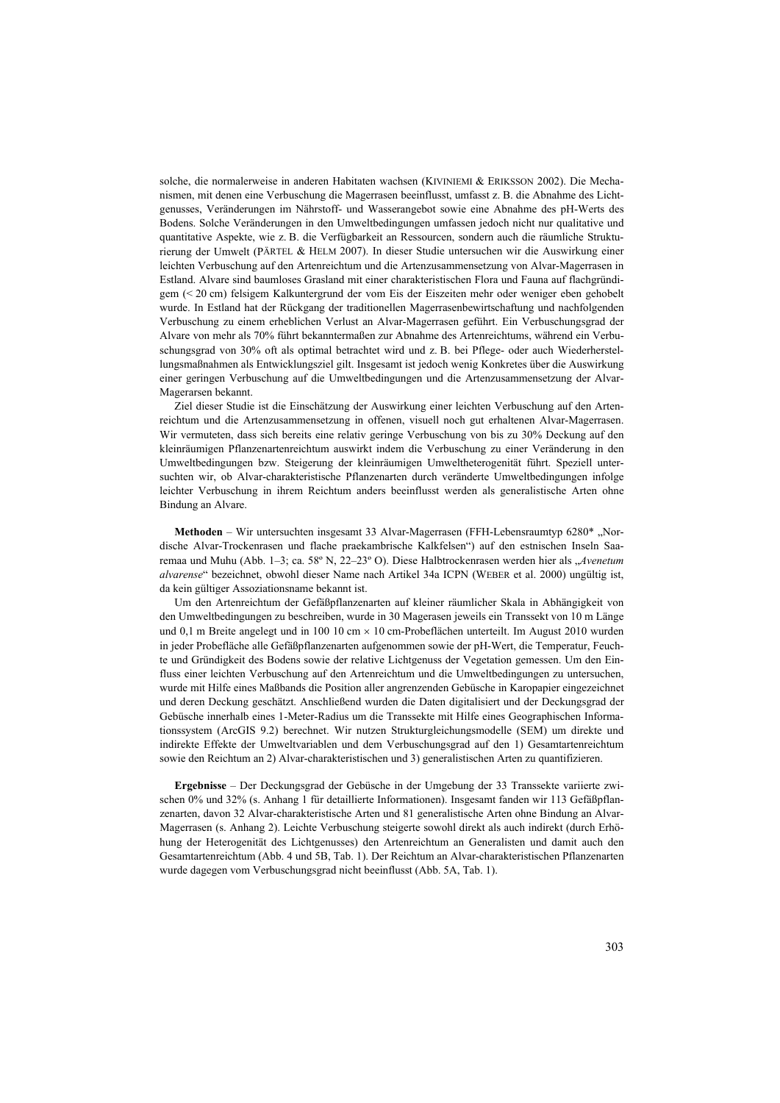solche, die normalerweise in anderen Habitaten wachsen (KIVINIEMI & ERIKSSON 2002). Die Mechanismen, mit denen eine Verbuschung die Magerrasen beeinflusst, umfasst z. B. die Abnahme des Lichtgenusses, Veränderungen im Nährstoff- und Wasserangebot sowie eine Abnahme des pH-Werts des Bodens. Solche Veränderungen in den Umweltbedingungen umfassen jedoch nicht nur qualitative und quantitative Aspekte, wie z. B. die Verfügbarkeit an Ressourcen, sondern auch die räumliche Strukturierung der Umwelt (PÄRTEL & HELM 2007). In dieser Studie untersuchen wir die Auswirkung einer leichten Verbuschung auf den Artenreichtum und die Artenzusammensetzung von Alvar-Magerrasen in Estland. Alvare sind baumloses Grasland mit einer charakteristischen Flora und Fauna auf flachgründigem (< 20 cm) felsigem Kalkuntergrund der vom Eis der Eiszeiten mehr oder weniger eben gehobelt wurde. In Estland hat der Rückgang der traditionellen Magerrasenbewirtschaftung und nachfolgenden Verbuschung zu einem erheblichen Verlust an Alvar-Magerrasen geführt. Ein Verbuschungsgrad der Alvare von mehr als 70% führt bekanntermaßen zur Abnahme des Artenreichtums, während ein Verbuschungsgrad von 30% oft als optimal betrachtet wird und z. B. bei Pflege- oder auch Wiederherstellungsmaßnahmen als Entwicklungsziel gilt. Insgesamt ist jedoch wenig Konkretes über die Auswirkung einer geringen Verbuschung auf die Umweltbedingungen und die Artenzusammensetzung der Alvar-Magerarsen bekannt.

Ziel dieser Studie ist die Einschätzung der Auswirkung einer leichten Verbuschung auf den Artenreichtum und die Artenzusammensetzung in offenen, visuell noch gut erhaltenen Alvar-Magerrasen. Wir vermuteten, dass sich bereits eine relativ geringe Verbuschung von bis zu 30% Deckung auf den kleinräumigen Pflanzenartenreichtum auswirkt indem die Verbuschung zu einer Veränderung in den Umweltbedingungen bzw. Steigerung der kleinräumigen Umweltheterogenität führt. Speziell untersuchten wir, ob Alvar-charakteristische Pflanzenarten durch veränderte Umweltbedingungen infolge leichter Verbuschung in ihrem Reichtum anders beeinflusst werden als generalistische Arten ohne Bindung an Alvare.

**Methoden** – Wir untersuchten insgesamt 33 Alvar-Magerrasen (FFH-Lebensraumtyp 6280\*, Nordische Alvar-Trockenrasen und flache praekambrische Kalkfelsen") auf den estnischen Inseln Saaremaa und Muhu (Abb. 1–3; ca. 58º N, 22–23º O). Diese Halbtrockenrasen werden hier als "*Avenetum alvarense*" bezeichnet, obwohl dieser Name nach Artikel 34a ICPN (WEBER et al. 2000) ungültig ist, da kein gültiger Assoziationsname bekannt ist.

Um den Artenreichtum der Gefäßpflanzenarten auf kleiner räumlicher Skala in Abhängigkeit von den Umweltbedingungen zu beschreiben, wurde in 30 Magerasen jeweils ein Transsekt von 10 m Länge und 0,1 m Breite angelegt und in 100 10 cm × 10 cm-Probeflächen unterteilt. Im August 2010 wurden in jeder Probefläche alle Gefäßpflanzenarten aufgenommen sowie der pH-Wert, die Temperatur, Feuchte und Gründigkeit des Bodens sowie der relative Lichtgenuss der Vegetation gemessen. Um den Einfluss einer leichten Verbuschung auf den Artenreichtum und die Umweltbedingungen zu untersuchen, wurde mit Hilfe eines Maßbands die Position aller angrenzenden Gebüsche in Karopapier eingezeichnet und deren Deckung geschätzt. Anschließend wurden die Daten digitalisiert und der Deckungsgrad der Gebüsche innerhalb eines 1-Meter-Radius um die Transsekte mit Hilfe eines Geographischen Informationssystem (ArcGIS 9.2) berechnet. Wir nutzen Strukturgleichungsmodelle (SEM) um direkte und indirekte Effekte der Umweltvariablen und dem Verbuschungsgrad auf den 1) Gesamtartenreichtum sowie den Reichtum an 2) Alvar-charakteristischen und 3) generalistischen Arten zu quantifizieren.

**Ergebnisse** – Der Deckungsgrad der Gebüsche in der Umgebung der 33 Transsekte variierte zwischen 0% und 32% (s. Anhang 1 für detaillierte Informationen). Insgesamt fanden wir 113 Gefäßpflanzenarten, davon 32 Alvar-charakteristische Arten und 81 generalistische Arten ohne Bindung an Alvar-Magerrasen (s. Anhang 2). Leichte Verbuschung steigerte sowohl direkt als auch indirekt (durch Erhöhung der Heterogenität des Lichtgenusses) den Artenreichtum an Generalisten und damit auch den Gesamtartenreichtum (Abb. 4 und 5B, Tab. 1). Der Reichtum an Alvar-charakteristischen Pflanzenarten wurde dagegen vom Verbuschungsgrad nicht beeinflusst (Abb. 5A, Tab. 1).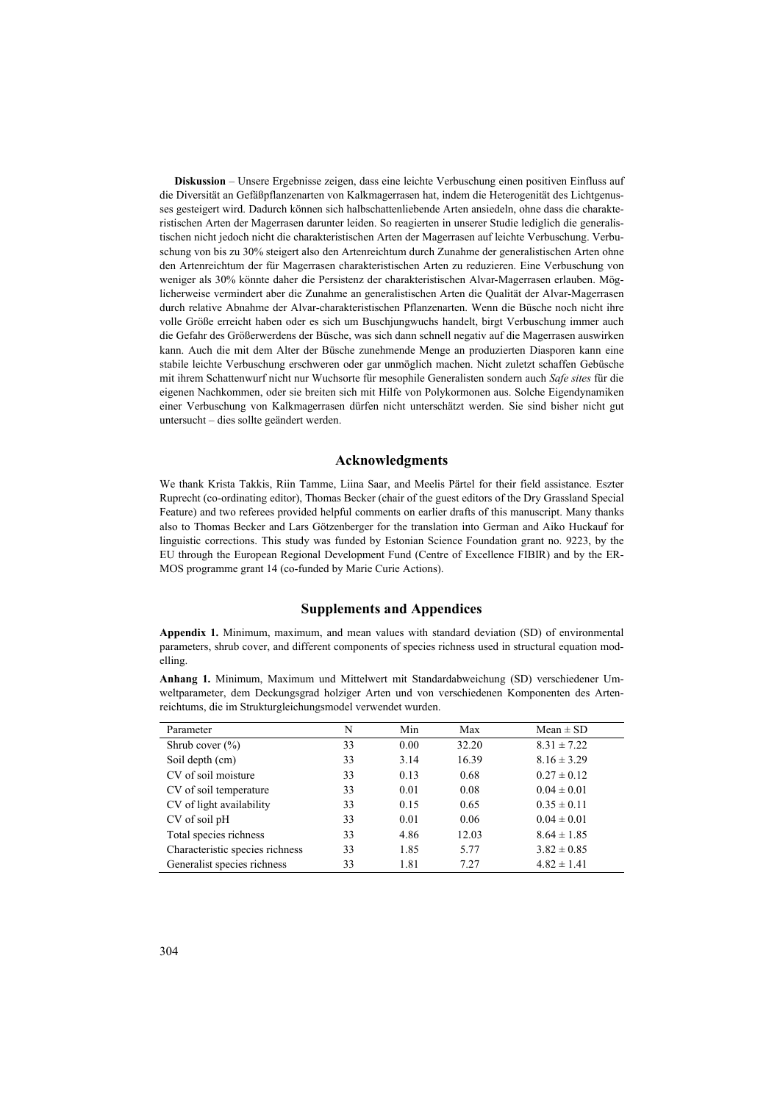**Diskussion** – Unsere Ergebnisse zeigen, dass eine leichte Verbuschung einen positiven Einfluss auf die Diversität an Gefäßpflanzenarten von Kalkmagerrasen hat, indem die Heterogenität des Lichtgenusses gesteigert wird. Dadurch können sich halbschattenliebende Arten ansiedeln, ohne dass die charakteristischen Arten der Magerrasen darunter leiden. So reagierten in unserer Studie lediglich die generalistischen nicht jedoch nicht die charakteristischen Arten der Magerrasen auf leichte Verbuschung. Verbuschung von bis zu 30% steigert also den Artenreichtum durch Zunahme der generalistischen Arten ohne den Artenreichtum der für Magerrasen charakteristischen Arten zu reduzieren. Eine Verbuschung von weniger als 30% könnte daher die Persistenz der charakteristischen Alvar-Magerrasen erlauben. Möglicherweise vermindert aber die Zunahme an generalistischen Arten die Qualität der Alvar-Magerrasen durch relative Abnahme der Alvar-charakteristischen Pflanzenarten. Wenn die Büsche noch nicht ihre volle Größe erreicht haben oder es sich um Buschjungwuchs handelt, birgt Verbuschung immer auch die Gefahr des Größerwerdens der Büsche, was sich dann schnell negativ auf die Magerrasen auswirken kann. Auch die mit dem Alter der Büsche zunehmende Menge an produzierten Diasporen kann eine stabile leichte Verbuschung erschweren oder gar unmöglich machen. Nicht zuletzt schaffen Gebüsche mit ihrem Schattenwurf nicht nur Wuchsorte für mesophile Generalisten sondern auch *Safe sites* für die eigenen Nachkommen, oder sie breiten sich mit Hilfe von Polykormonen aus. Solche Eigendynamiken einer Verbuschung von Kalkmagerrasen dürfen nicht unterschätzt werden. Sie sind bisher nicht gut untersucht – dies sollte geändert werden.

## **Acknowledgments**

We thank Krista Takkis, Riin Tamme, Liina Saar, and Meelis Pärtel for their field assistance. Eszter Ruprecht (co-ordinating editor), Thomas Becker (chair of the guest editors of the Dry Grassland Special Feature) and two referees provided helpful comments on earlier drafts of this manuscript. Many thanks also to Thomas Becker and Lars Götzenberger for the translation into German and Aiko Huckauf for linguistic corrections. This study was funded by Estonian Science Foundation grant no. 9223, by the EU through the European Regional Development Fund (Centre of Excellence FIBIR) and by the ER-MOS programme grant 14 (co-funded by Marie Curie Actions).

# **Supplements and Appendices**

**Appendix 1.** Minimum, maximum, and mean values with standard deviation (SD) of environmental parameters, shrub cover, and different components of species richness used in structural equation modelling.

**Anhang 1.** Minimum, Maximum und Mittelwert mit Standardabweichung (SD) verschiedener Umweltparameter, dem Deckungsgrad holziger Arten und von verschiedenen Komponenten des Artenreichtums, die im Strukturgleichungsmodel verwendet wurden.

| Parameter                       | N  | Min  | Max   | $Mean \pm SD$   |
|---------------------------------|----|------|-------|-----------------|
| Shrub cover $(\% )$             | 33 | 0.00 | 32.20 | $8.31 \pm 7.22$ |
| Soil depth (cm)                 | 33 | 3.14 | 16.39 | $8.16 \pm 3.29$ |
| CV of soil moisture             | 33 | 0.13 | 0.68  | $0.27 \pm 0.12$ |
| CV of soil temperature          | 33 | 0.01 | 0.08  | $0.04 \pm 0.01$ |
| CV of light availability        | 33 | 0.15 | 0.65  | $0.35 \pm 0.11$ |
| CV of soil pH                   | 33 | 0.01 | 0.06  | $0.04 \pm 0.01$ |
| Total species richness          | 33 | 4.86 | 12.03 | $8.64 \pm 1.85$ |
| Characteristic species richness | 33 | 1.85 | 5.77  | $3.82 \pm 0.85$ |
| Generalist species richness     | 33 | 1.81 | 7.27  | $4.82 \pm 1.41$ |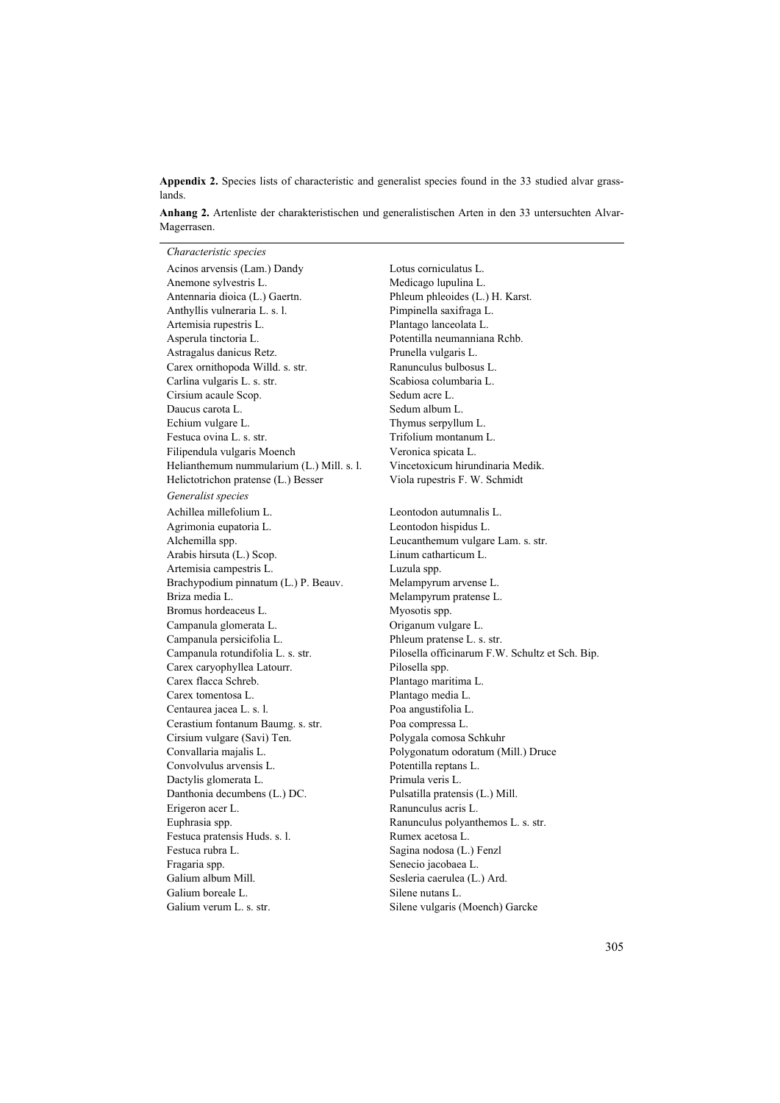**Appendix 2.** Species lists of characteristic and generalist species found in the 33 studied alvar grasslands.

**Anhang 2.** Artenliste der charakteristischen und generalistischen Arten in den 33 untersuchten Alvar-Magerrasen.

*Characteristic species* Acinos arvensis (Lam.) Dandy Lotus corniculatus L. Anemone sylvestris L. Medicago lupulina L. Antennaria dioica (L.) Gaertn. Phleum phleoides (L.) H. Karst. Anthyllis vulneraria L. s. l. Pimpinella saxifraga L. Artemisia rupestris L. Plantago lanceolata L. Asperula tinctoria L. Potentilla neumanniana Rchb. Astragalus danicus Retz. Prunella vulgaris L. Carex ornithopoda Willd. s. str. Ranunculus bulbosus L. Carlina vulgaris L. s. str. Scabiosa columbaria L. Cirsium acaule Scop. Sedum acre L. Daucus carota L. Sedum album L. Echium vulgare L. Thymus serpyllum L. Festuca ovina L. s. str. Trifolium montanum L. Filipendula vulgaris Moench Veronica spicata L. Helianthemum nummularium (L.) Mill. s. l. Vincetoxicum hirundinaria Medik. Helictotrichon pratense (L.) Besser Viola rupestris F. W. Schmidt *Generalist species* Achillea millefolium L.<br>
Leontodon autumnalis L. Agrimonia eupatoria L. Leontodon hispidus L. Alchemilla spp. Leucanthemum vulgare Lam. s. str. Arabis hirsuta (L.) Scop. Linum catharticum L. Artemisia campestris L. Luzula spp. Brachypodium pinnatum (L.) P. Beauv. Melampyrum arvense L. Briza media L. Melampyrum pratense L.<br>Bromus hordeaceus L. Myosotis spp. Bromus hordeaceus L. Campanula glomerata L. Origanum vulgare L. Campanula persicifolia L. Phleum pratense L. s. str. Carex caryophyllea Latourr. Pilosella spp. Carex flacca Schreb. Plantago maritima L. Carex tomentosa L. Plantago media L. Centaurea jacea L. s. l. Poa angustifolia L. Cerastium fontanum Baumg. s. str. Poa compressa L. Cirsium vulgare (Savi) Ten. Polygala comosa Schkuhr Convallaria majalis L. Polygonatum odoratum (Mill.) Druce Convolvulus arvensis L. Dactylis glomerata L. Primula veris L. Danthonia decumbens (L.) DC. Pulsatilla pratensis (L.) Mill. Erigeron acer L. Ranunculus acris L. Euphrasia spp. Ranunculus polyanthemos L. s. str. Festuca pratensis Huds. s. l. Rumex acetosa L. Festuca rubra L. Sagina nodosa (L.) Fenzl Fragaria spp. Senecio jacobaea L. Galium album Mill. Sesleria caerulea (L.) Ard. Galium boreale L. Silene nutans L. Galium verum L. s. str. Silene vulgaris (Moench) Garcke

Campanula rotundifolia L. s. str. Pilosella officinarum F.W. Schultz et Sch. Bip.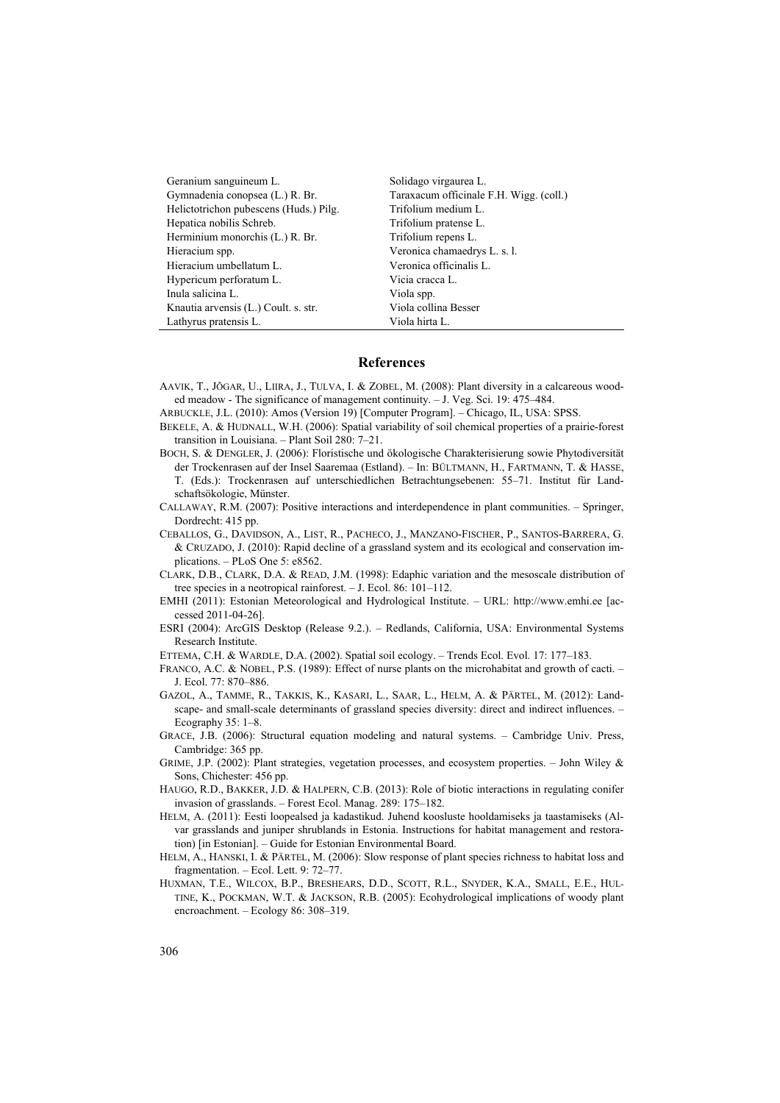| Geranium sanguineum L.                 | Solidago virgaurea L.                   |  |  |
|----------------------------------------|-----------------------------------------|--|--|
| Gymnadenia conopsea (L.) R. Br.        | Taraxacum officinale F.H. Wigg. (coll.) |  |  |
| Helictotrichon pubescens (Huds.) Pilg. | Trifolium medium L.                     |  |  |
| Hepatica nobilis Schreb.               | Trifolium pratense L.                   |  |  |
| Herminium monorchis (L.) R. Br.        | Trifolium repens L.                     |  |  |
| Hieracium spp.                         | Veronica chamaedrys L. s. l.            |  |  |
| Hieracium umbellatum L.                | Veronica officinalis L.                 |  |  |
| Hypericum perforatum L.                | Vicia cracca L.                         |  |  |
| Inula salicina L.                      | Viola spp.                              |  |  |
| Knautia arvensis (L.) Coult. s. str.   | Viola collina Besser                    |  |  |
| Lathyrus pratensis L.                  | Viola hirta L.                          |  |  |

#### **References**

- AAVIK, T., JÕGAR, U., LIIRA, J., TULVA, I. & ZOBEL, M. (2008): Plant diversity in a calcareous wooded meadow - The significance of management continuity. – J. Veg. Sci. 19: 475–484.
- ARBUCKLE, J.L. (2010): Amos (Version 19) [Computer Program]. Chicago, IL, USA: SPSS.
- BEKELE, A. & HUDNALL, W.H. (2006): Spatial variability of soil chemical properties of a prairie-forest transition in Louisiana. – Plant Soil 280: 7–21.
- BOCH, S. & DENGLER, J. (2006): Floristische und ökologische Charakterisierung sowie Phytodiversität der Trockenrasen auf der Insel Saaremaa (Estland). – In: BÜLTMANN, H., FARTMANN, T. & HASSE, T. (Eds.): Trockenrasen auf unterschiedlichen Betrachtungsebenen: 55–71. Institut für Landschaftsökologie, Münster.
- CALLAWAY, R.M. (2007): Positive interactions and interdependence in plant communities. Springer, Dordrecht: 415 pp.
- CEBALLOS, G., DAVIDSON, A., LIST, R., PACHECO, J., MANZANO-FISCHER, P., SANTOS-BARRERA, G. & CRUZADO, J. (2010): Rapid decline of a grassland system and its ecological and conservation implications. – PLoS One 5: e8562.
- CLARK, D.B., CLARK, D.A. & READ, J.M. (1998): Edaphic variation and the mesoscale distribution of tree species in a neotropical rainforest. – J. Ecol. 86: 101–112.
- EMHI (2011): Estonian Meteorological and Hydrological Institute. URL: http://www.emhi.ee [accessed 2011-04-26].
- ESRI (2004): ArcGIS Desktop (Release 9.2.). Redlands, California, USA: Environmental Systems Research Institute.
- ETTEMA, C.H. & WARDLE, D.A. (2002). Spatial soil ecology. Trends Ecol. Evol. 17: 177–183.
- FRANCO, A.C. & NOBEL, P.S. (1989): Effect of nurse plants on the microhabitat and growth of cacti. J. Ecol. 77: 870–886.
- GAZOL, A., TAMME, R., TAKKIS, K., KASARI, L., SAAR, L., HELM, A. & PÄRTEL, M. (2012): Landscape- and small-scale determinants of grassland species diversity: direct and indirect influences. – Ecography 35: 1–8.
- GRACE, J.B. (2006): Structural equation modeling and natural systems. Cambridge Univ. Press, Cambridge: 365 pp.
- GRIME, J.P. (2002): Plant strategies, vegetation processes, and ecosystem properties. John Wiley & Sons, Chichester: 456 pp.
- HAUGO, R.D., BAKKER, J.D. & HALPERN, C.B. (2013): Role of biotic interactions in regulating conifer invasion of grasslands. – Forest Ecol. Manag. 289: 175–182.
- HELM, A. (2011): Eesti loopealsed ja kadastikud. Juhend koosluste hooldamiseks ja taastamiseks (Alvar grasslands and juniper shrublands in Estonia. Instructions for habitat management and restoration) [in Estonian]. – Guide for Estonian Environmental Board.
- HELM, A., HANSKI, I. & PÄRTEL, M. (2006): Slow response of plant species richness to habitat loss and fragmentation. – Ecol. Lett. 9: 72–77.
- HUXMAN, T.E., WILCOX, B.P., BRESHEARS, D.D., SCOTT, R.L., SNYDER, K.A., SMALL, E.E., HUL-TINE, K., POCKMAN, W.T. & JACKSON, R.B. (2005): Ecohydrological implications of woody plant encroachment. – Ecology 86: 308–319.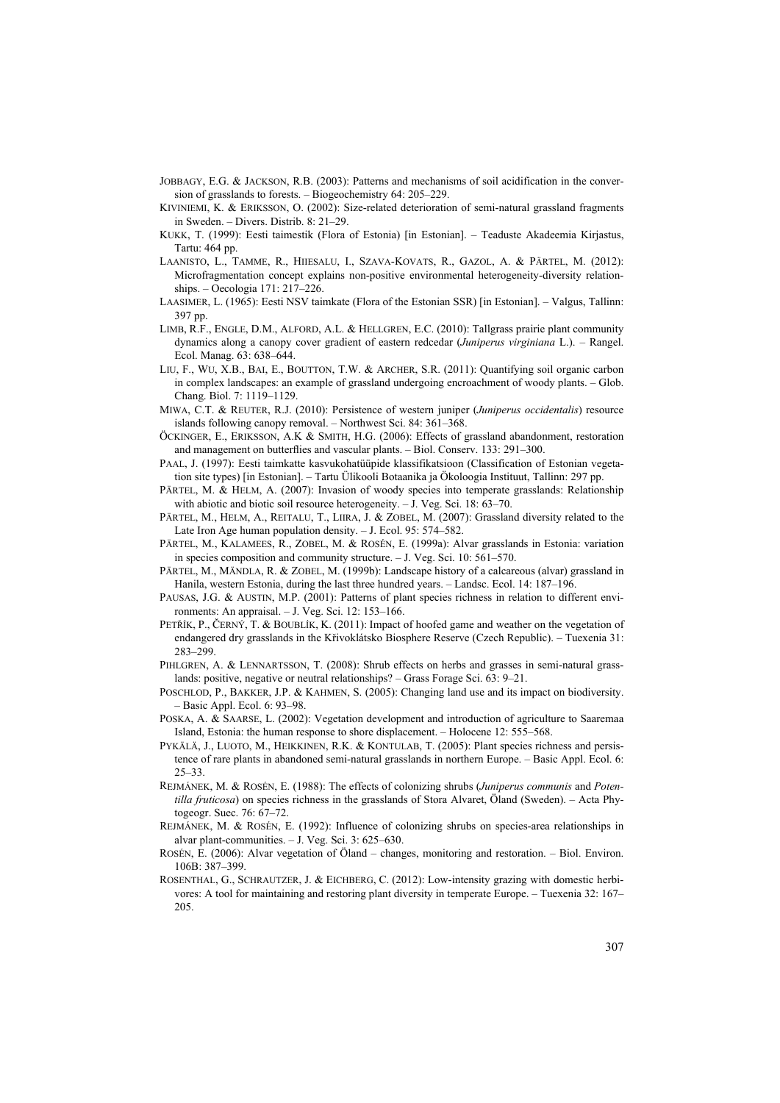- JOBBAGY, E.G. & JACKSON, R.B. (2003): Patterns and mechanisms of soil acidification in the conversion of grasslands to forests. – Biogeochemistry 64: 205–229.
- KIVINIEMI, K. & ERIKSSON, O. (2002): Size-related deterioration of semi-natural grassland fragments in Sweden. – Divers. Distrib. 8: 21–29.
- KUKK, T. (1999): Eesti taimestik (Flora of Estonia) [in Estonian]. Teaduste Akadeemia Kirjastus, Tartu: 464 pp.
- LAANISTO, L., TAMME, R., HIIESALU, I., SZAVA-KOVATS, R., GAZOL, A. & PÄRTEL, M. (2012): Microfragmentation concept explains non-positive environmental heterogeneity-diversity relationships. – Oecologia 171: 217–226.
- LAASIMER, L. (1965): Eesti NSV taimkate (Flora of the Estonian SSR) [in Estonian]. Valgus, Tallinn: 397 pp.
- LIMB, R.F., ENGLE, D.M., ALFORD, A.L. & HELLGREN, E.C. (2010): Tallgrass prairie plant community dynamics along a canopy cover gradient of eastern redcedar (*Juniperus virginiana* L.). – Rangel. Ecol. Manag. 63: 638–644.
- LIU, F., WU, X.B., BAI, E., BOUTTON, T.W. & ARCHER, S.R. (2011): Quantifying soil organic carbon in complex landscapes: an example of grassland undergoing encroachment of woody plants. – Glob. Chang. Biol. 7: 1119–1129.
- MIWA, C.T. & REUTER, R.J. (2010): Persistence of western juniper (*Juniperus occidentalis*) resource islands following canopy removal. – Northwest Sci. 84: 361–368.
- ÖCKINGER, E., ERIKSSON, A.K & SMITH, H.G. (2006): Effects of grassland abandonment, restoration and management on butterflies and vascular plants. – Biol. Conserv. 133: 291–300.
- PAAL, J. (1997): Eesti taimkatte kasvukohatüüpide klassifikatsioon (Classification of Estonian vegetation site types) [in Estonian]. – Tartu Ülikooli Botaanika ja Ökoloogia Instituut, Tallinn: 297 pp.
- PÄRTEL, M. & HELM, A. (2007): Invasion of woody species into temperate grasslands: Relationship with abiotic and biotic soil resource heterogeneity. – J. Veg. Sci. 18: 63–70.
- PÄRTEL, M., HELM, A., REITALU, T., LIIRA, J. & ZOBEL, M. (2007): Grassland diversity related to the Late Iron Age human population density. – J. Ecol. 95: 574–582.
- PÄRTEL, M., KALAMEES, R., ZOBEL, M. & ROSÉN, E. (1999a): Alvar grasslands in Estonia: variation in species composition and community structure. – J. Veg. Sci. 10: 561–570.
- PÄRTEL, M., MÄNDLA, R. & ZOBEL, M. (1999b): Landscape history of a calcareous (alvar) grassland in Hanila, western Estonia, during the last three hundred years. – Landsc. Ecol. 14: 187–196.
- PAUSAS, J.G. & AUSTIN, M.P. (2001): Patterns of plant species richness in relation to different environments: An appraisal. – J. Veg. Sci. 12: 153–166.
- PETŘÍK, P., ČERNÝ, T. & BOUBLÍK, K. (2011): Impact of hoofed game and weather on the vegetation of endangered dry grasslands in the Křivoklátsko Biosphere Reserve (Czech Republic). – Tuexenia 31: 283–299.
- PIHLGREN, A. & LENNARTSSON, T. (2008): Shrub effects on herbs and grasses in semi-natural grasslands: positive, negative or neutral relationships? – Grass Forage Sci. 63: 9–21.
- POSCHLOD, P., BAKKER, J.P. & KAHMEN, S. (2005): Changing land use and its impact on biodiversity. – Basic Appl. Ecol. 6: 93–98.
- POSKA, A. & SAARSE, L. (2002): Vegetation development and introduction of agriculture to Saaremaa Island, Estonia: the human response to shore displacement. – Holocene 12: 555–568.
- PYKÄLÄ, J., LUOTO, M., HEIKKINEN, R.K. & KONTULAB, T. (2005): Plant species richness and persistence of rare plants in abandoned semi-natural grasslands in northern Europe. – Basic Appl. Ecol. 6: 25–33.
- REJMÁNEK, M. & ROSÉN, E. (1988): The effects of colonizing shrubs (*Juniperus communis* and *Potentilla fruticosa*) on species richness in the grasslands of Stora Alvaret, Öland (Sweden). – Acta Phytogeogr. Suec. 76: 67–72.
- REJMÁNEK, M. & ROSÉN, E. (1992): Influence of colonizing shrubs on species-area relationships in alvar plant-communities. – J. Veg. Sci. 3: 625–630.
- ROSÉN, E. (2006): Alvar vegetation of Öland changes, monitoring and restoration. Biol. Environ. 106B: 387–399.
- ROSENTHAL, G., SCHRAUTZER, J. & EICHBERG, C. (2012): Low-intensity grazing with domestic herbivores: A tool for maintaining and restoring plant diversity in temperate Europe. – Tuexenia 32: 167– 205.